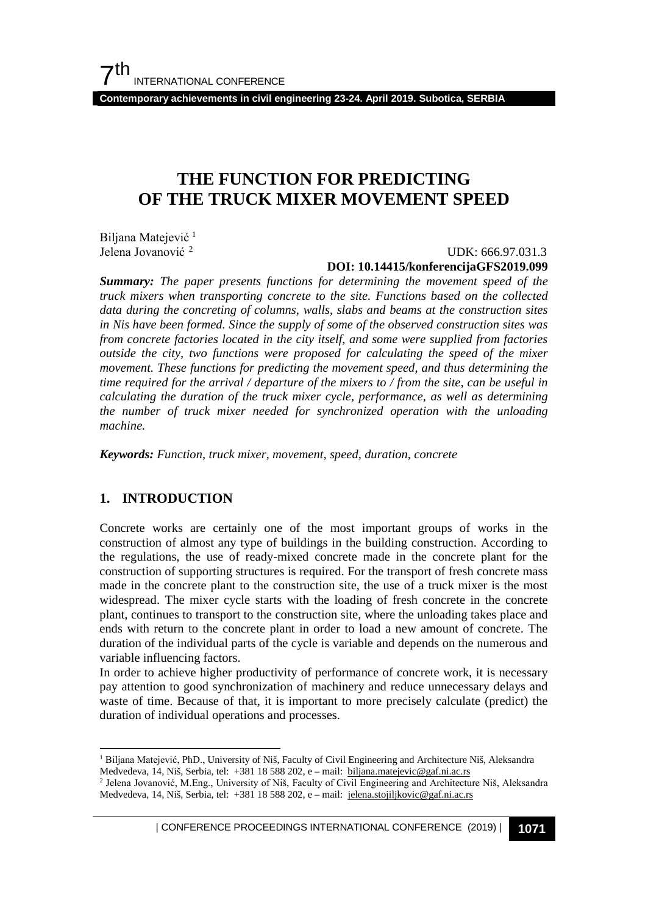**Contemporary achievements in civil engineering 23-24. April 2019. Subotica, SERBIA**

## **THE FUNCTION FOR PREDICTING OF THE TRUCK MIXER MOVEMENT SPEED**

Biljana Matejević <sup>[1](#page-0-0)</sup> Jelena Jovanović [2](#page-0-1)

#### UDK: 666.97.031.3 **DOI: 10.14415/konferencijaGFS2019.099**

*Summary: The paper presents functions for determining the movement speed of the truck mixers when transporting concrete to the site. Functions based on the collected data during the concreting of columns, walls, slabs and beams at the construction sites in Nis have been formed. Since the supply of some of the observed construction sites was from concrete factories located in the city itself, and some were supplied from factories outside the city, two functions were proposed for calculating the speed of the mixer movement. These functions for predicting the movement speed, and thus determining the time required for the arrival / departure of the mixers to / from the site, can be useful in calculating the duration of the truck mixer cycle, performance, as well as determining the number of truck mixer needed for synchronized operation with the unloading machine.*

*Keywords: Function, truck mixer, movement, speed, duration, concrete*

#### **1. INTRODUCTION**

Concrete works are certainly one of the most important groups of works in the construction of almost any type of buildings in the building construction. According to the regulations, the use of ready-mixed concrete made in the concrete plant for the construction of supporting structures is required. For the transport of fresh concrete mass made in the concrete plant to the construction site, the use of a truck mixer is the most widespread. The mixer cycle starts with the loading of fresh concrete in the concrete plant, continues to transport to the construction site, where the unloading takes place and ends with return to the concrete plant in order to load a new amount of concrete. The duration of the individual parts of the cycle is variable and depends on the numerous and variable influencing factors.

In order to achieve higher productivity of performance of concrete work, it is necessary pay attention to good synchronization of machinery and reduce unnecessary delays and waste of time. Because of that, it is important to more precisely calculate (predict) the duration of individual operations and processes.

<span id="page-0-0"></span><sup>&</sup>lt;sup>1</sup> Biljana Matejević, PhD., University of Niš, Faculty of Civil Engineering and Architecture Niš, Aleksandra Medvedeva, 14, Niš, Serbia, tel: +381 18 588 202, e – mail: [biljana.matejevic@gaf.ni.ac.rs](mailto:biljana.matejevic@gaf.ni.ac.rs)

<span id="page-0-1"></span><sup>2</sup> Jelena Jovanović, M.Eng., University of Niš, Faculty of Civil Engineering and Architecture Niš, Aleksandra Medvedeva, 14, Niš, Serbia, tel: +381 18 588 202, e – mail: [jelena.stojiljkovic@gaf.ni.ac.rs](mailto:jelena.stojiljkovic@gaf.ni.ac.rs)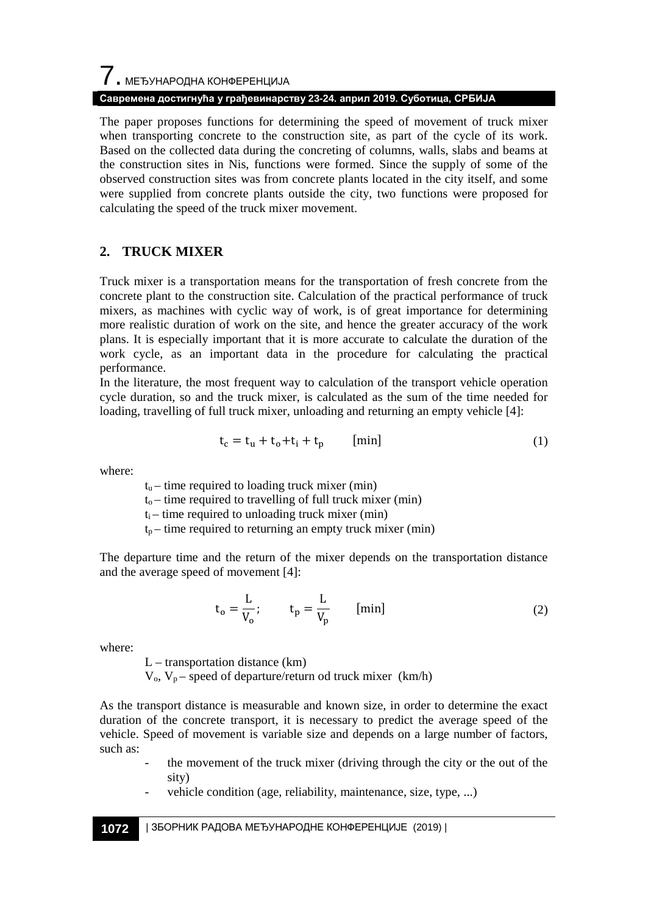# $\overline{\phantom{a}}$ . МЕЂУНАРОДНА КОНФЕРЕНЦИЈА

#### **Савремена достигнућа у грађевинарству 23-24. април 2019. Суботица, СРБИЈА**

The paper proposes functions for determining the speed of movement of truck mixer when transporting concrete to the construction site, as part of the cycle of its work. Based on the collected data during the concreting of columns, walls, slabs and beams at the construction sites in Nis, functions were formed. Since the supply of some of the observed construction sites was from concrete plants located in the city itself, and some were supplied from concrete plants outside the city, two functions were proposed for calculating the speed of the truck mixer movement.

#### **2. TRUCK MIXER**

Truck mixer is a transportation means for the transportation of fresh concrete from the concrete plant to the construction site. Calculation of the practical performance of truck mixers, as machines with cyclic way of work, is of great importance for determining more realistic duration of work on the site, and hence the greater accuracy of the work plans. It is especially important that it is more accurate to calculate the duration of the work cycle, as an important data in the procedure for calculating the practical performance.

In the literature, the most frequent way to calculation of the transport vehicle operation cycle duration, so and the truck mixer, is calculated as the sum of the time needed for loading, travelling of full truck mixer, unloading and returning an empty vehicle [4]:

$$
t_c = t_u + t_o + t_i + t_p \qquad [min]
$$
 (1)

where:

 $t<sub>u</sub>$  – time required to loading truck mixer (min)

 $t_0$  – time required to travelling of full truck mixer (min)

 $t_i$  – time required to unloading truck mixer (min)

 $t_p$  – time required to returning an empty truck mixer (min)

The departure time and the return of the mixer depends on the transportation distance and the average speed of movement [4]:

$$
t_o = \frac{L}{V_o}; \qquad t_p = \frac{L}{V_p} \qquad [min]
$$
 (2)

where:

 $L$  – transportation distance (km)

 $V_0$ ,  $V_p$  – speed of departure/return od truck mixer (km/h)

As the transport distance is measurable and known size, in order to determine the exact duration of the concrete transport, it is necessary to predict the average speed of the vehicle. Speed of movement is variable size and depends on a large number of factors, such as:

- the movement of the truck mixer (driving through the city or the out of the sity)
- vehicle condition (age, reliability, maintenance, size, type, ...)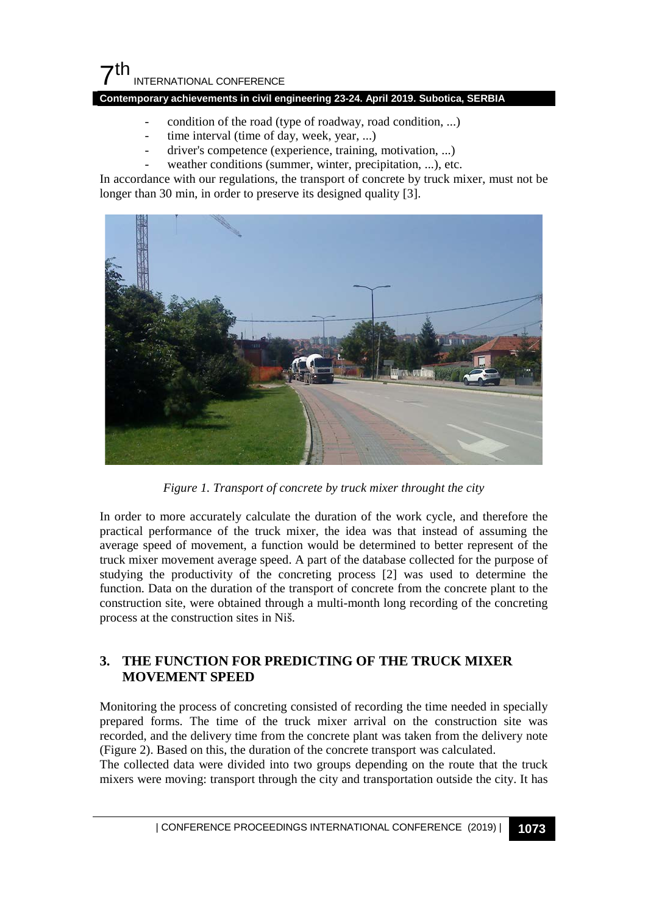#### **Contemporary achievements in civil engineering 23-24. April 2019. Subotica, SERBIA**

- condition of the road (type of roadway, road condition, ...)
- time interval (time of day, week, year, ...)
- driver's competence (experience, training, motivation, ...)
- weather conditions (summer, winter, precipitation, ...), etc.

In accordance with our regulations, the transport of concrete by truck mixer, must not be longer than 30 min, in order to preserve its designed quality [3].



*Figure 1. Transport of concrete by truck mixer throught the city*

In order to more accurately calculate the duration of the work cycle, and therefore the practical performance of the truck mixer, the idea was that instead of assuming the average speed of movement, a function would be determined to better represent of the truck mixer movement average speed. A part of the database collected for the purpose of studying the productivity of the concreting process [2] was used to determine the function. Data on the duration of the transport of concrete from the concrete plant to the construction site, were obtained through a multi-month long recording of the concreting process at the construction sites in Niš.

## **3. THE FUNCTION FOR PREDICTING OF THE TRUCK MIXER MOVEMENT SPEED**

Monitoring the process of concreting consisted of recording the time needed in specially prepared forms. The time of the truck mixer arrival on the construction site was recorded, and the delivery time from the concrete plant was taken from the delivery note (Figure 2). Based on this, the duration of the concrete transport was calculated.

The collected data were divided into two groups depending on the route that the truck mixers were moving: transport through the city and transportation outside the city. It has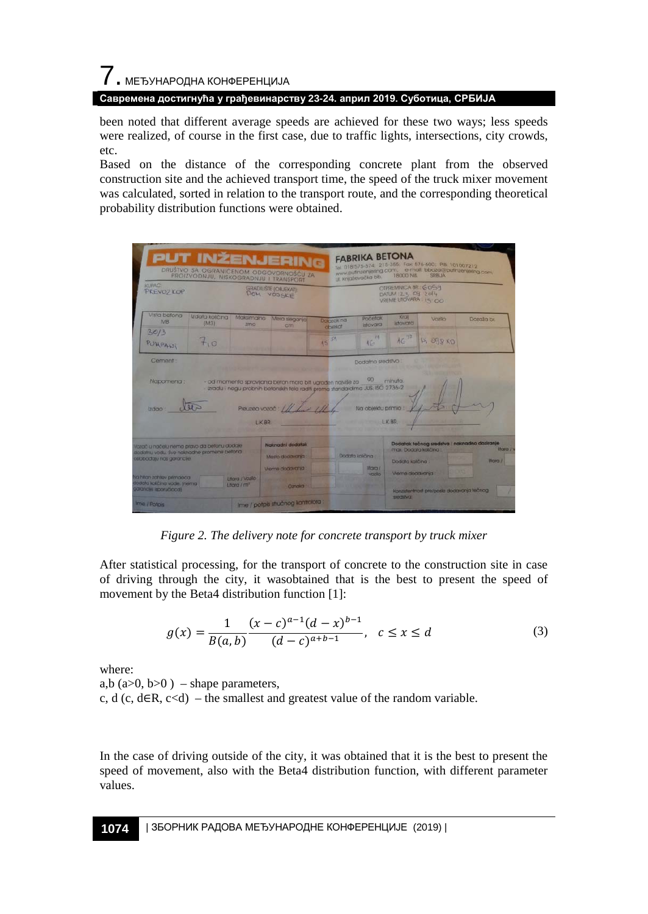**Савремена достигнућа у грађевинарству 23-24. април 2019. Суботица, СРБИЈА**

been noted that different average speeds are achieved for these two ways; less speeds were realized, of course in the first case, due to traffic lights, intersections, city crowds, etc.

Based on the distance of the corresponding concrete plant from the observed construction site and the achieved transport time, the speed of the truck mixer movement was calculated, sorted in relation to the transport route, and the corresponding theoretical probability distribution functions were obtained.

|                                                                                                                         |                                                            |                                 | PUT INŽENJERING<br>DRUŠTVO SA OGRANIČENOM ODGOVORNOŠĆU ZA<br>PROIZVODNJU, NISKOGRADNJU I TRANSPORT                                                                      |                       | <b>FABRIKA BETONA</b><br>UL Knigzlevačka bb.                        | 18000 N/S.                                                        | Tel. 018/575-574; 215-355; Fax: 576-600; PIB: 101007212<br>www.putinzenjering.com; e-mail: bbaza@putinzenjering.com<br><b>SRBIJA</b> |                              |
|-------------------------------------------------------------------------------------------------------------------------|------------------------------------------------------------|---------------------------------|-------------------------------------------------------------------------------------------------------------------------------------------------------------------------|-----------------------|---------------------------------------------------------------------|-------------------------------------------------------------------|--------------------------------------------------------------------------------------------------------------------------------------|------------------------------|
| PREVOZ KOP                                                                                                              | <b>KUPAC</b><br><b>GRADILISTE (OBJEKAT):</b><br>DOM VOJSKE |                                 |                                                                                                                                                                         |                       | OTPREMNICA BR 6059<br>DATUM : 2 3 09 2014<br>VREME UTOVARA : 15 CIO |                                                                   |                                                                                                                                      |                              |
| Vista betona<br>MR                                                                                                      | Izdata količina<br>(M3)                                    | zmo                             | Maksimaino Mero sieganja<br>cm                                                                                                                                          | Dolozak na<br>objekat | Početok<br><b>istovara</b>                                          | Krat<br>Istavara                                                  | Vozilo                                                                                                                               | Dozaža tv.                   |
| 30/3<br>PUMPANI                                                                                                         | 70                                                         |                                 |                                                                                                                                                                         | 56<br>$\sqrt{5}$      | $AC^{\prime\prime}$                                                 | AC                                                                | 45 098 10                                                                                                                            |                              |
| Izdo                                                                                                                    |                                                            | L.K.BR                          | - od momenta spravljanja beton mora biti ugrađen najviše za<br>- izradu i negu probnih betanskih tela raditi prema standardima JUS ISO 2736-2<br>Preuzeo vozač: [// /w/ |                       | Na objektu primio :                                                 | L.K.BR.                                                           |                                                                                                                                      |                              |
| Vozač u načelu nema pravo da beforiu dodaje<br>dodatriu vodu. Sve naknadne promene betona<br>osicioadaiu nas garancije. |                                                            |                                 | Naknadni dodatak<br>Mesto dodovania :<br>Vieme dodovanja                                                                                                                |                       | Dodota količina<br><b>Itara</b> /<br><b>VOZBO</b>                   | max. Dodata količina<br><b>Dodata količina</b><br>Vieme dodavanja | Dodatak tečnog sredstva / naknadno doziranje                                                                                         | litara /<br><b>Illigeo /</b> |
| Na hitan zahlev primapca<br>dodata količina vode. (nema<br>garancie isparučioca)                                        |                                                            | Litara / Vozilo<br>$LBox / m^2$ | Oznaka:                                                                                                                                                                 |                       |                                                                     | tredstva:                                                         | Konvistentnost pre/posle dodavanja tečnog                                                                                            |                              |
| Ime / Potpis                                                                                                            |                                                            |                                 | Ime / potpis stručnog kontrolora                                                                                                                                        |                       |                                                                     |                                                                   |                                                                                                                                      |                              |

*Figure 2. The delivery note for concrete transport by truck mixer*

After statistical processing, for the transport of concrete to the construction site in case of driving through the city, it wasobtained that is the best to present the speed of movement by the Beta4 distribution function [1]:

$$
g(x) = \frac{1}{B(a,b)} \frac{(x-c)^{a-1}(d-x)^{b-1}}{(d-c)^{a+b-1}}, \quad c \le x \le d
$$
 (3)

where:

a,b  $(a>0, b>0)$  – shape parameters,

c, d (c, d∈R, c<d) – the smallest and greatest value of the random variable.

In the case of driving outside of the city, it was obtained that it is the best to present the speed of movement, also with the Beta4 distribution function, with different parameter values.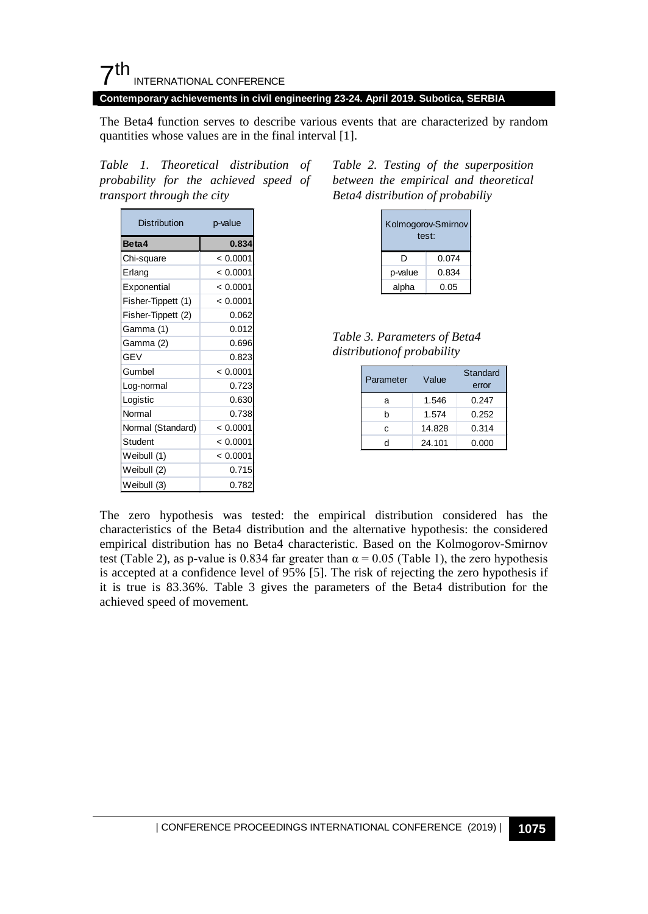**Contemporary achievements in civil engineering 23-24. April 2019. Subotica, SERBIA**

The Beta4 function serves to describe various events that are characterized by random quantities whose values are in the final interval [1].

*Table 1. Theoretical distribution of probability for the achieved speed of transport through the city*

| <b>Distribution</b> | p-value  |  |
|---------------------|----------|--|
| Beta4               | 0.834    |  |
| Chi-square          | < 0.0001 |  |
| Erlang              | < 0.0001 |  |
| Exponential         | < 0.0001 |  |
| Fisher-Tippett (1)  | < 0.0001 |  |
| Fisher-Tippett (2)  | 0.062    |  |
| Gamma (1)           | 0.012    |  |
| Gamma (2)           | 0.696    |  |
| GEV                 | 0.823    |  |
| Gumbel              | < 0.0001 |  |
| Log-normal          | 0.723    |  |
| Logistic            | 0.630    |  |
| Normal              | 0.738    |  |
| Normal (Standard)   | < 0.0001 |  |
| Student             | < 0.0001 |  |
| Weibull (1)         | < 0.0001 |  |
| Weibull (2)         | 0.715    |  |
| Weibull (3)         | 0.782    |  |

| Table 2. Testing of the superposition |
|---------------------------------------|
| between the empirical and theoretical |
| Beta4 distribution of probabiliy      |

| Kolmogorov-Smirnov<br>test: |       |  |
|-----------------------------|-------|--|
| D                           | 0.074 |  |
| p-value                     | 0.834 |  |
| alpha                       | 0.05  |  |

*Table 3. Parameters of Beta4 distributionof probability*

| Parameter | Value  | Standard<br>error |
|-----------|--------|-------------------|
| a         | 1.546  | 0.247             |
| h         | 1.574  | 0.252             |
| C.        | 14.828 | 0.314             |
| d         | 24.101 | 0.000             |

The zero hypothesis was tested: the empirical distribution considered has the characteristics of the Beta4 distribution and the alternative hypothesis: the considered empirical distribution has no Beta4 characteristic. Based on the Kolmogorov-Smirnov test (Table 2), as p-value is 0.834 far greater than  $\alpha = 0.05$  (Table 1), the zero hypothesis is accepted at a confidence level of 95% [5]. The risk of rejecting the zero hypothesis if it is true is 83.36%. Table 3 gives the parameters of the Beta4 distribution for the achieved speed of movement.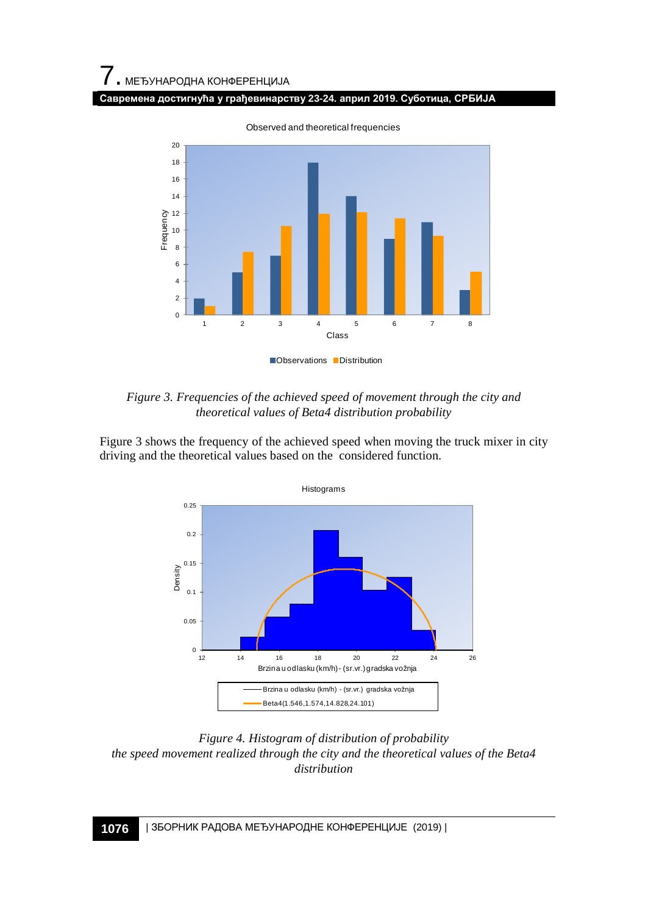**Савремена достигнућа у грађевинарству 23-24. април 2019. Суботица, СРБИЈА**



Observed and theoretical frequencies

*Figure 3. Frequencies of the achieved speed of movement through the city and theoretical values of Beta4 distribution probability*

Figure 3 shows the frequency of the achieved speed when moving the truck mixer in city driving and the theoretical values based on the considered function.



*Figure 4. Histogram of distribution of probability the speed movement realized through the city and the theoretical values of the Beta4 distribution*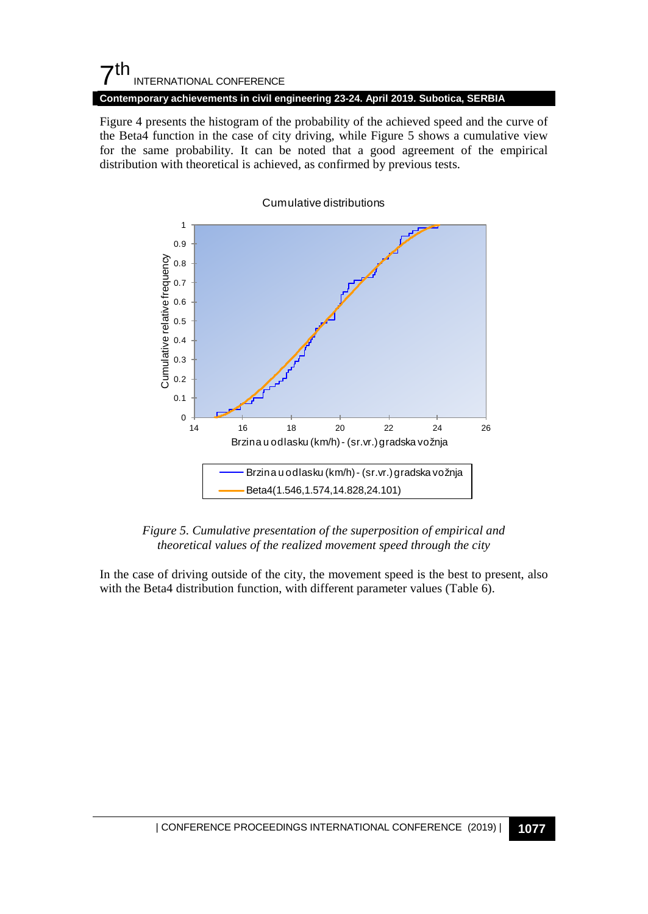#### **Contemporary achievements in civil engineering 23-24. April 2019. Subotica, SERBIA**

Figure 4 presents the histogram of the probability of the achieved speed and the curve of the Beta4 function in the case of city driving, while Figure 5 shows a cumulative view for the same probability. It can be noted that a good agreement of the empirical distribution with theoretical is achieved, as confirmed by previous tests.



Cumulative distributions

*Figure 5. Cumulative presentation of the superposition of empirical and theoretical values of the realized movement speed through the city*

In the case of driving outside of the city, the movement speed is the best to present, also with the Beta4 distribution function, with different parameter values (Table 6).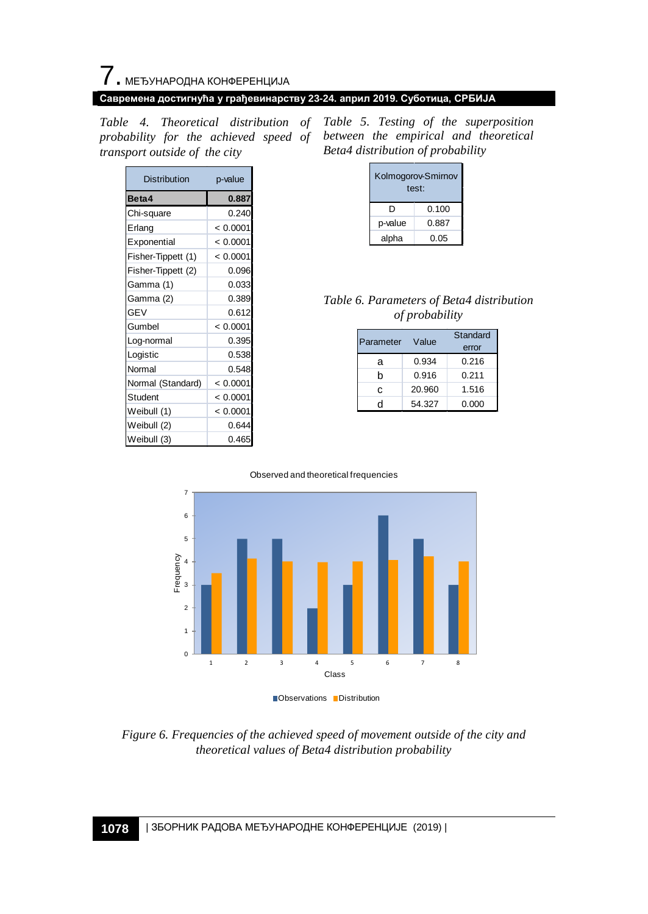## 7. МЕЂУНАРОДНА КОНФЕРЕНЦИЈА

#### **Савремена достигнућа у грађевинарству 23-24. април 2019. Суботица, СРБИЈА**

*Table 4. Theoretical distribution of probability for the achieved speed of transport outside of the city*

> Distribution p-value **Beta4 0.887** Chi-square 0.240 Erlang < 0.0001 Exponential < 0.0001 Fisher-Tippett  $(1)$  < 0.0001 Fisher-Tippett (2) 0.096 Gamma (1) 0.033 Gamma (2) 0.389 GEV 0.612 Gumbel < 0.0001 Log-normal 0.395 Logistic 0.538 Normal 0.548 Normal (Standard) < 0.0001 Student < 0.0001 Weibull (1)  $\vert$  < 0.0001 Weibull (2) 0.644 Weibull (3) 0.465

*Table 5. Testing of the superposition between the empirical and theoretical Beta4 distribution of probability*

|         | Kolmogorov-Smirnov<br>test: |  |  |  |
|---------|-----------------------------|--|--|--|
| D       | 0.100                       |  |  |  |
| p-value | 0.887                       |  |  |  |
| alpha   | 0.05                        |  |  |  |

#### *Table 6. Parameters of Beta4 distribution of probability*

| Parameter | Value  | Standard<br>error |
|-----------|--------|-------------------|
| a         | 0.934  | 0.216             |
| h         | 0.916  | 0.211             |
| c         | 20.960 | 1.516             |
| d         | 54.327 | 0.000             |

#### Observed and theoretical frequencies



*Figure 6. Frequencies of the achieved speed of movement outside of the city and theoretical values of Beta4 distribution probability*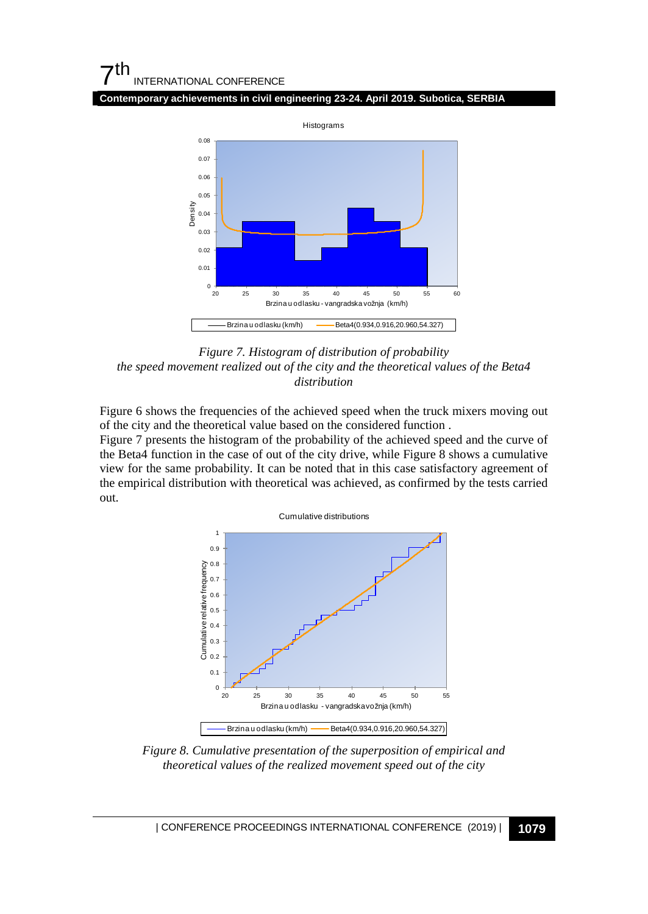**Contemporary achievements in civil engineering 23-24. April 2019. Subotica, SERBIA**



*Figure 7. Histogram of distribution of probability the speed movement realized out of the city and the theoretical values of the Beta4 distribution*

Figure 6 shows the frequencies of the achieved speed when the truck mixers moving out of the city and the theoretical value based on the considered function .

Figure 7 presents the histogram of the probability of the achieved speed and the curve of the Beta4 function in the case of out of the city drive, while Figure 8 shows a cumulative view for the same probability. It can be noted that in this case satisfactory agreement of the empirical distribution with theoretical was achieved, as confirmed by the tests carried out.



*Figure 8. Cumulative presentation of the superposition of empirical and theoretical values of the realized movement speed out of the city*